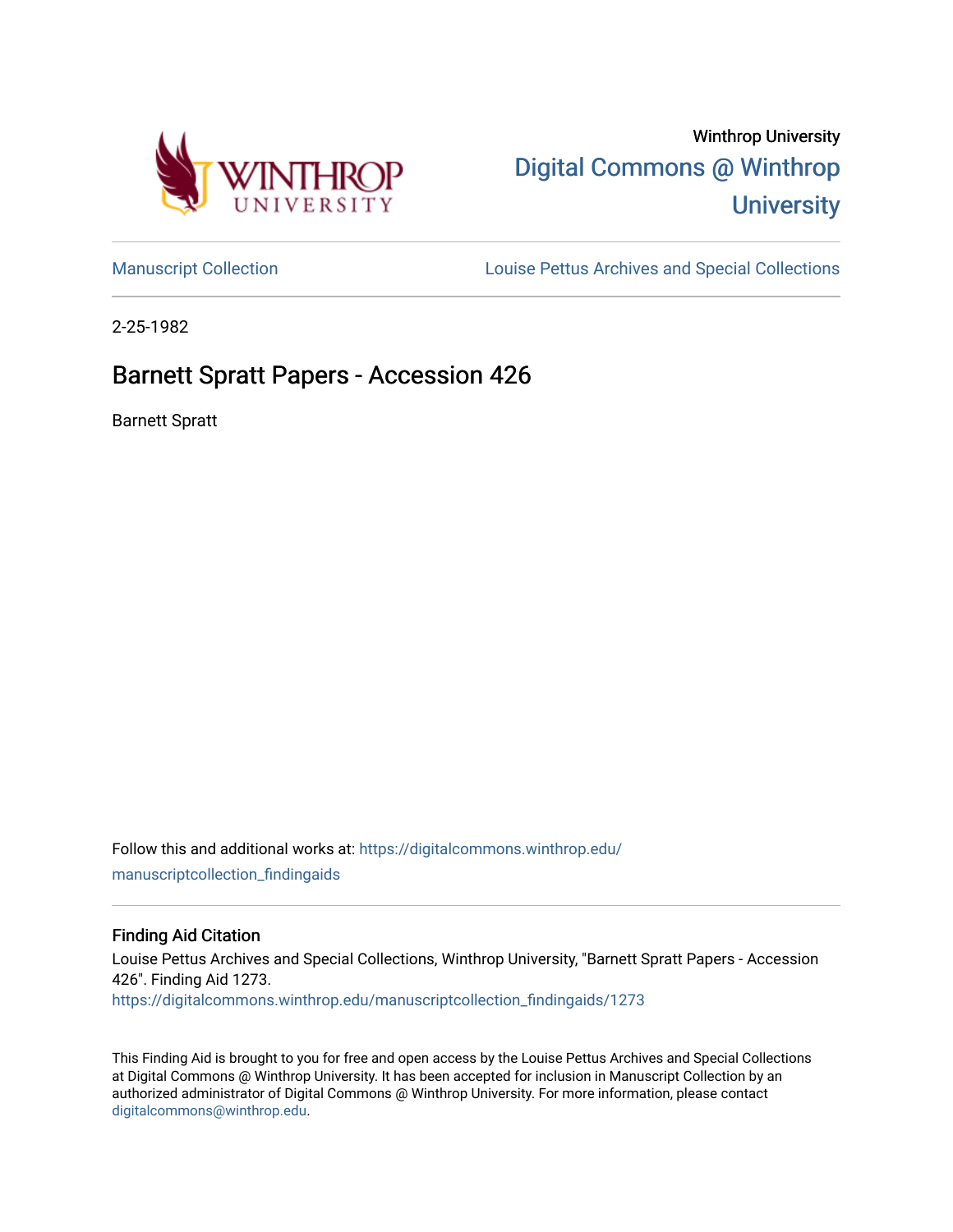

# Winthrop University [Digital Commons @ Winthrop](https://digitalcommons.winthrop.edu/)  **University**

[Manuscript Collection](https://digitalcommons.winthrop.edu/manuscriptcollection_findingaids) **Louise Pettus Archives and Special Collections** 

2-25-1982

## Barnett Spratt Papers - Accession 426

Barnett Spratt

Follow this and additional works at: [https://digitalcommons.winthrop.edu/](https://digitalcommons.winthrop.edu/manuscriptcollection_findingaids?utm_source=digitalcommons.winthrop.edu%2Fmanuscriptcollection_findingaids%2F1273&utm_medium=PDF&utm_campaign=PDFCoverPages) [manuscriptcollection\\_findingaids](https://digitalcommons.winthrop.edu/manuscriptcollection_findingaids?utm_source=digitalcommons.winthrop.edu%2Fmanuscriptcollection_findingaids%2F1273&utm_medium=PDF&utm_campaign=PDFCoverPages) 

#### Finding Aid Citation

Louise Pettus Archives and Special Collections, Winthrop University, "Barnett Spratt Papers - Accession 426". Finding Aid 1273. [https://digitalcommons.winthrop.edu/manuscriptcollection\\_findingaids/1273](https://digitalcommons.winthrop.edu/manuscriptcollection_findingaids/1273?utm_source=digitalcommons.winthrop.edu%2Fmanuscriptcollection_findingaids%2F1273&utm_medium=PDF&utm_campaign=PDFCoverPages) 

This Finding Aid is brought to you for free and open access by the Louise Pettus Archives and Special Collections at Digital Commons @ Winthrop University. It has been accepted for inclusion in Manuscript Collection by an authorized administrator of Digital Commons @ Winthrop University. For more information, please contact [digitalcommons@winthrop.edu](mailto:digitalcommons@winthrop.edu).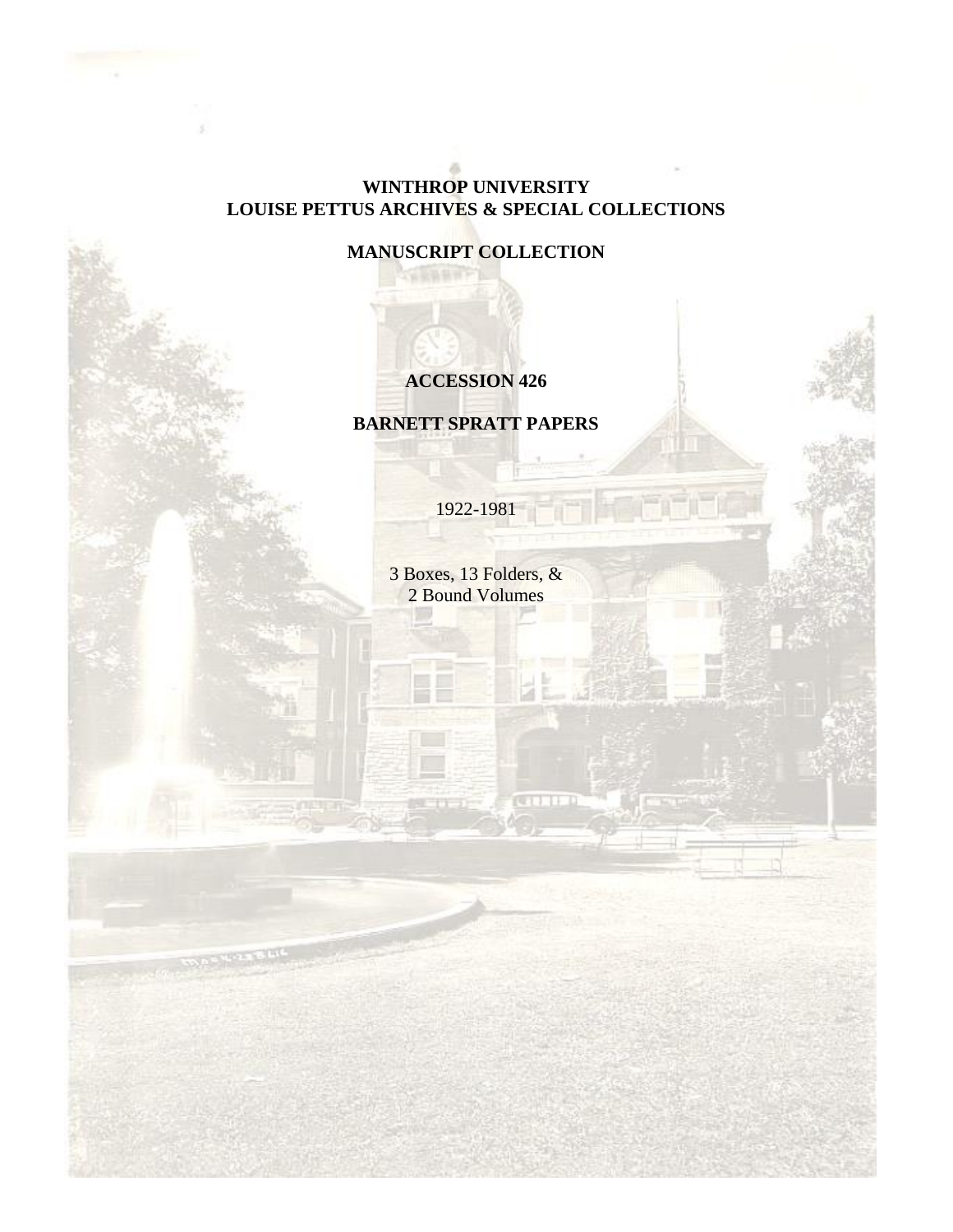## **WINTHROP UNIVERSITY LOUISE PETTUS ARCHIVES & SPECIAL COLLECTIONS**

**MANUSCRIPT COLLECTION**

## **ACCESSION 426**

**BARNETT SPRATT PAPERS**

1922-1981

3 Boxes, 13 Folders, & 2 Bound Volumes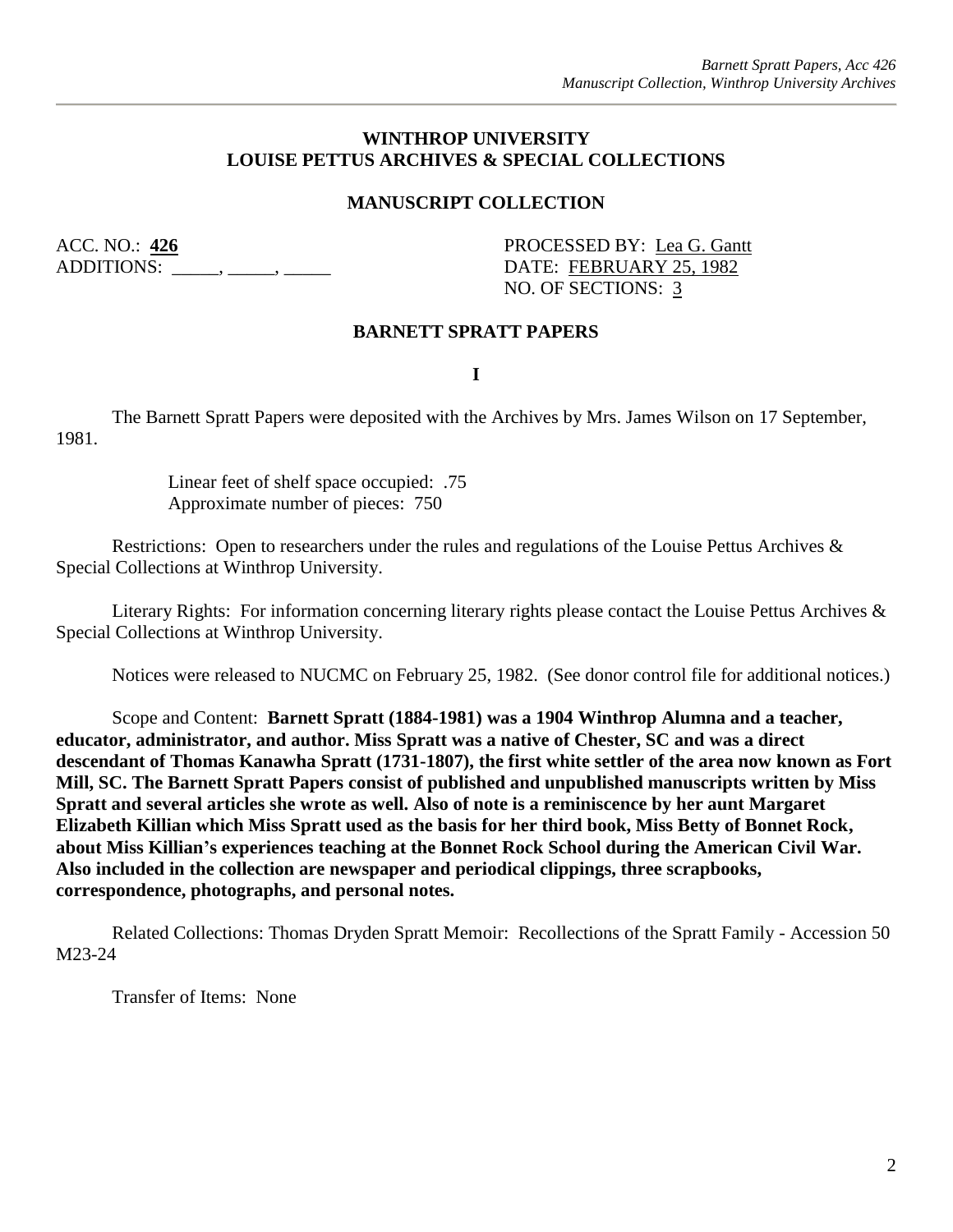#### **WINTHROP UNIVERSITY LOUISE PETTUS ARCHIVES & SPECIAL COLLECTIONS**

#### **MANUSCRIPT COLLECTION**

ACC. NO.: 426 **PROCESSED BY:** Lea G. Gantt ADDITIONS: \_\_\_\_\_, \_\_\_\_, \_\_\_\_\_\_ DATE: FEBRUARY 25, 1982

NO. OF SECTIONS: 3

#### **BARNETT SPRATT PAPERS**

**I**

The Barnett Spratt Papers were deposited with the Archives by Mrs. James Wilson on 17 September, 1981.

> Linear feet of shelf space occupied: .75 Approximate number of pieces: 750

Restrictions: Open to researchers under the rules and regulations of the Louise Pettus Archives & Special Collections at Winthrop University.

Literary Rights: For information concerning literary rights please contact the Louise Pettus Archives & Special Collections at Winthrop University.

Notices were released to NUCMC on February 25, 1982. (See donor control file for additional notices.)

Scope and Content: **Barnett Spratt (1884-1981) was a 1904 Winthrop Alumna and a teacher, educator, administrator, and author. Miss Spratt was a native of Chester, SC and was a direct descendant of Thomas Kanawha Spratt (1731-1807), the first white settler of the area now known as Fort Mill, SC. The Barnett Spratt Papers consist of published and unpublished manuscripts written by Miss Spratt and several articles she wrote as well. Also of note is a reminiscence by her aunt Margaret Elizabeth Killian which Miss Spratt used as the basis for her third book, Miss Betty of Bonnet Rock, about Miss Killian's experiences teaching at the Bonnet Rock School during the American Civil War. Also included in the collection are newspaper and periodical clippings, three scrapbooks, correspondence, photographs, and personal notes.** 

Related Collections: Thomas Dryden Spratt Memoir: Recollections of the Spratt Family - Accession 50 M23-24

Transfer of Items: None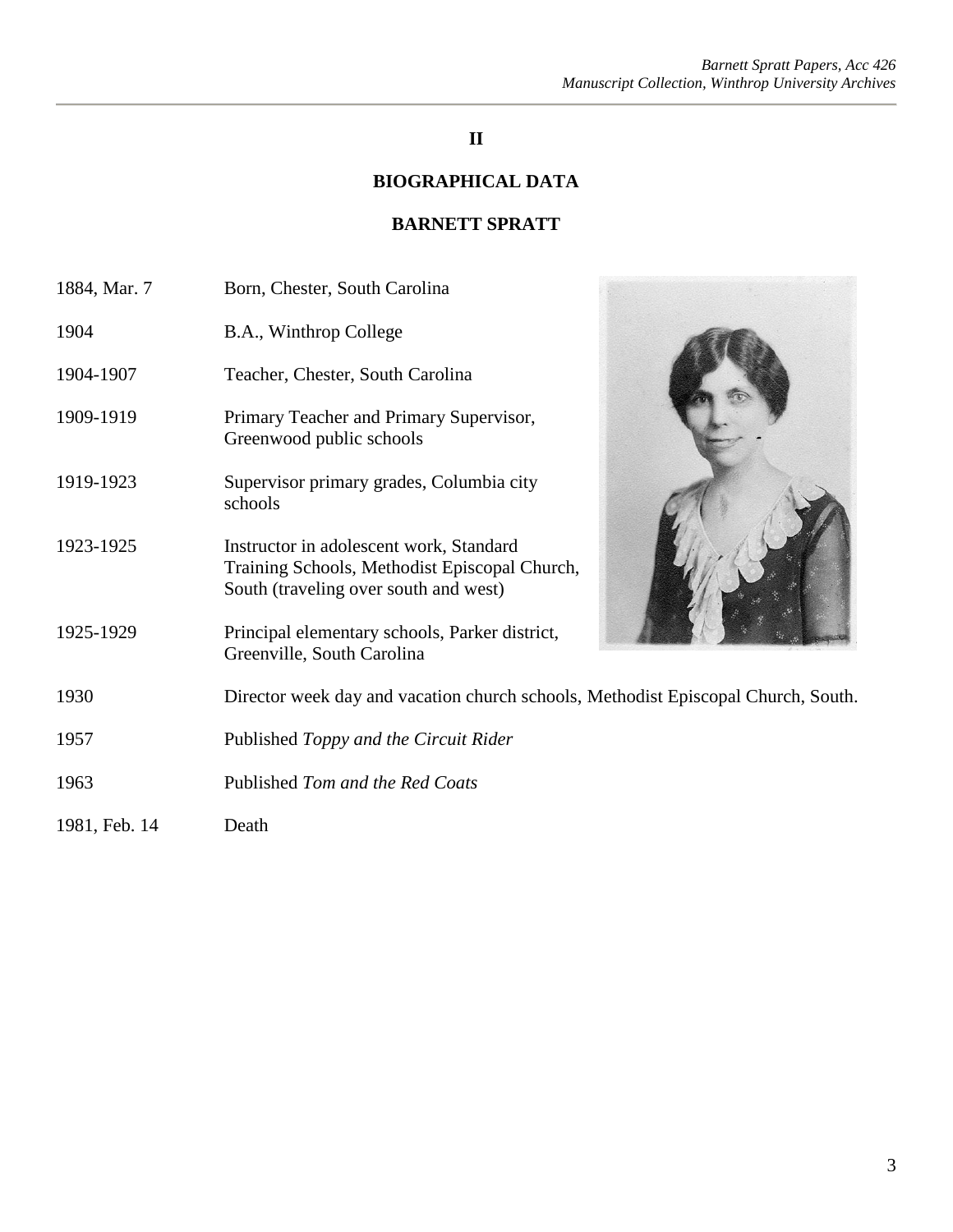## **II**

## **BIOGRAPHICAL DATA**

### **BARNETT SPRATT**

| 1884, Mar. 7  | Born, Chester, South Carolina                                                                                                     |  |
|---------------|-----------------------------------------------------------------------------------------------------------------------------------|--|
| 1904          | B.A., Winthrop College                                                                                                            |  |
| 1904-1907     | Teacher, Chester, South Carolina                                                                                                  |  |
| 1909-1919     | Primary Teacher and Primary Supervisor,<br>Greenwood public schools                                                               |  |
| 1919-1923     | Supervisor primary grades, Columbia city<br>schools                                                                               |  |
| 1923-1925     | Instructor in adolescent work, Standard<br>Training Schools, Methodist Episcopal Church,<br>South (traveling over south and west) |  |
| 1925-1929     | Principal elementary schools, Parker district,<br>Greenville, South Carolina                                                      |  |
| 1930          | Director week day and vacation church schools, Methodist Episcopal Church, South.                                                 |  |
| 1957          | Published Toppy and the Circuit Rider                                                                                             |  |
| 1963          | Published Tom and the Red Coats                                                                                                   |  |
| 1981, Feb. 14 | Death                                                                                                                             |  |